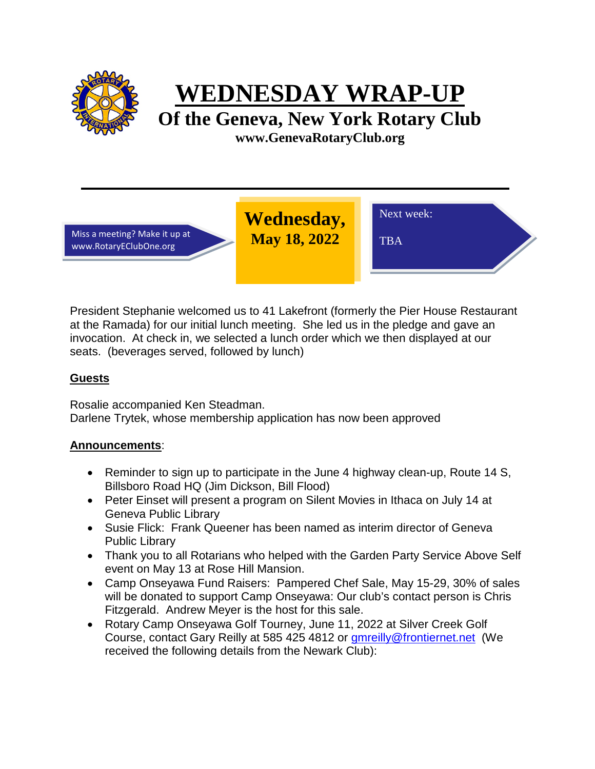

**WEDNESDAY WRAP-UP**

**Of the Geneva, New York Rotary Club www.GenevaRotaryClub.org**

Miss a meeting? Make it up at www.RotaryEClubOne.org

**Wednesday, May 18, 2022** 

TBA

Next week:

President Stephanie welcomed us to 41 Lakefront (formerly the Pier House Restaurant at the Ramada) for our initial lunch meeting. She led us in the pledge and gave an invocation. At check in, we selected a lunch order which we then displayed at our seats. (beverages served, followed by lunch)

# **Guests**

Rosalie accompanied Ken Steadman. Darlene Trytek, whose membership application has now been approved

## **Announcements**:

- Reminder to sign up to participate in the June 4 highway clean-up, Route 14 S, Billsboro Road HQ (Jim Dickson, Bill Flood)
- Peter Einset will present a program on Silent Movies in Ithaca on July 14 at Geneva Public Library
- Susie Flick: Frank Queener has been named as interim director of Geneva Public Library
- Thank you to all Rotarians who helped with the Garden Party Service Above Self event on May 13 at Rose Hill Mansion.
- Camp Onseyawa Fund Raisers: Pampered Chef Sale, May 15-29, 30% of sales will be donated to support Camp Onseyawa: Our club's contact person is Chris Fitzgerald. Andrew Meyer is the host for this sale.
- Rotary Camp Onseyawa Golf Tourney, June 11, 2022 at Silver Creek Golf Course, contact Gary Reilly at 585 425 4812 or [gmreilly@frontiernet.net](mailto:gmreilly@frontiernet.net) (We received the following details from the Newark Club):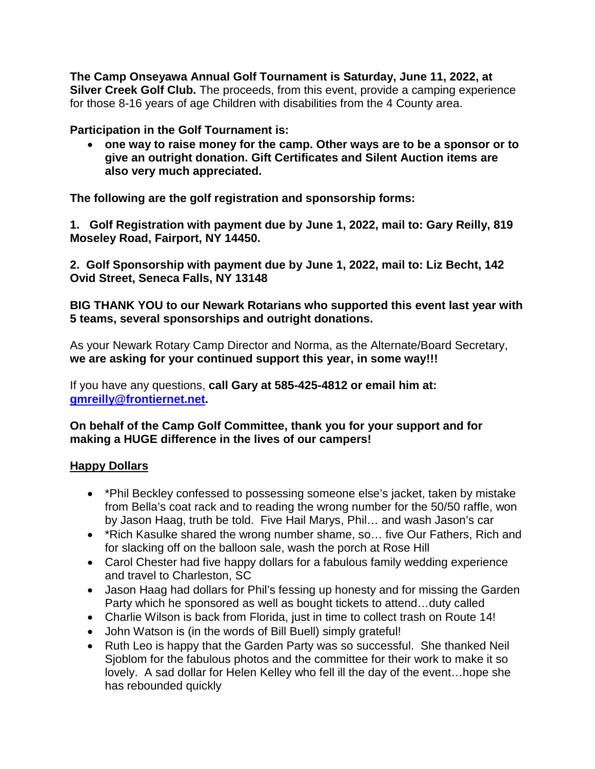**The Camp Onseyawa Annual Golf Tournament is Saturday, June 11, 2022, at Silver Creek Golf Club.** The proceeds, from this event, provide a camping experience for those 8-16 years of age Children with disabilities from the 4 County area.

## **Participation in the Golf Tournament is:**

• **one way to raise money for the camp. Other ways are to be a sponsor or to give an outright donation. Gift Certificates and Silent Auction items are also very much appreciated.**

**The following are the golf registration and sponsorship forms:**

**1. Golf Registration with payment due by June 1, 2022, mail to: Gary Reilly, 819 Moseley Road, Fairport, NY 14450.**

**2. Golf Sponsorship with payment due by June 1, 2022, mail to: Liz Becht, 142 Ovid Street, Seneca Falls, NY 13148**

**BIG THANK YOU to our Newark Rotarians who supported this event last year with 5 teams, several sponsorships and outright donations.**

As your Newark Rotary Camp Director and Norma, as the Alternate/Board Secretary, **we are asking for your continued support this year, in some way!!!**

If you have any questions, **call Gary at 585-425-4812 or email him at: [gmreilly@frontiernet.net.](mailto:gmreilly@frontiernet.net)**

### **On behalf of the Camp Golf Committee, thank you for your support and for making a HUGE difference in the lives of our campers!**

#### **Happy Dollars**

- \*Phil Beckley confessed to possessing someone else's jacket, taken by mistake from Bella's coat rack and to reading the wrong number for the 50/50 raffle, won by Jason Haag, truth be told. Five Hail Marys, Phil… and wash Jason's car
- \*Rich Kasulke shared the wrong number shame, so… five Our Fathers, Rich and for slacking off on the balloon sale, wash the porch at Rose Hill
- Carol Chester had five happy dollars for a fabulous family wedding experience and travel to Charleston, SC
- Jason Haag had dollars for Phil's fessing up honesty and for missing the Garden Party which he sponsored as well as bought tickets to attend…duty called
- Charlie Wilson is back from Florida, just in time to collect trash on Route 14!
- John Watson is (in the words of Bill Buell) simply grateful!
- Ruth Leo is happy that the Garden Party was so successful. She thanked Neil Sjoblom for the fabulous photos and the committee for their work to make it so lovely. A sad dollar for Helen Kelley who fell ill the day of the event…hope she has rebounded quickly